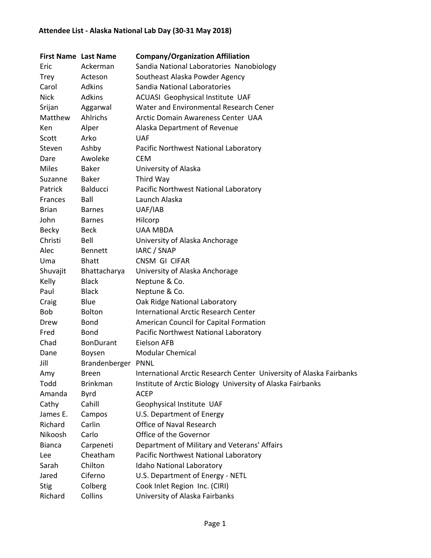| <b>First Name Last Name</b> |                  | <b>Company/Organization Affiliation</b>                             |
|-----------------------------|------------------|---------------------------------------------------------------------|
| Eric                        | Ackerman         | Sandia National Laboratories Nanobiology                            |
| Trey                        | Acteson          | Southeast Alaska Powder Agency                                      |
| Carol                       | Adkins           | Sandia National Laboratories                                        |
| <b>Nick</b>                 | <b>Adkins</b>    | ACUASI Geophysical Institute UAF                                    |
| Srijan                      | Aggarwal         | Water and Environmental Research Cener                              |
| Matthew                     | Ahlrichs         | Arctic Domain Awareness Center UAA                                  |
| Ken                         | Alper            | Alaska Department of Revenue                                        |
| Scott                       | Arko             | <b>UAF</b>                                                          |
| Steven                      | Ashby            | Pacific Northwest National Laboratory                               |
| Dare                        | Awoleke          | <b>CEM</b>                                                          |
| <b>Miles</b>                | <b>Baker</b>     | University of Alaska                                                |
| Suzanne                     | Baker            | Third Way                                                           |
| Patrick                     | <b>Balducci</b>  | Pacific Northwest National Laboratory                               |
| Frances                     | Ball             | Launch Alaska                                                       |
| <b>Brian</b>                | <b>Barnes</b>    | UAF/IAB                                                             |
| John                        | <b>Barnes</b>    | Hilcorp                                                             |
| <b>Becky</b>                | <b>Beck</b>      | <b>UAA MBDA</b>                                                     |
| Christi                     | Bell             | University of Alaska Anchorage                                      |
| Alec                        | <b>Bennett</b>   | IARC / SNAP                                                         |
| Uma                         | <b>Bhatt</b>     | CNSM GI CIFAR                                                       |
| Shuvajit                    | Bhattacharya     | University of Alaska Anchorage                                      |
| Kelly                       | <b>Black</b>     | Neptune & Co.                                                       |
| Paul                        | <b>Black</b>     | Neptune & Co.                                                       |
| Craig                       | Blue             | Oak Ridge National Laboratory                                       |
| Bob                         | <b>Bolton</b>    | <b>International Arctic Research Center</b>                         |
| Drew                        | Bond             | American Council for Capital Formation                              |
| Fred                        | <b>Bond</b>      | Pacific Northwest National Laboratory                               |
| Chad                        | <b>BonDurant</b> | Eielson AFB                                                         |
| Dane                        | Boysen           | <b>Modular Chemical</b>                                             |
| Jill                        | Brandenberger    | <b>PNNL</b>                                                         |
| Amy                         | <b>Breen</b>     | International Arctic Research Center University of Alaska Fairbanks |
| Todd                        | <b>Brinkman</b>  | Institute of Arctic Biology University of Alaska Fairbanks          |
| Amanda                      | <b>Byrd</b>      | <b>ACEP</b>                                                         |
| Cathy                       | Cahill           | Geophysical Institute UAF                                           |
| James E.                    | Campos           | U.S. Department of Energy                                           |
| Richard                     | Carlin           | Office of Naval Research                                            |
| Nikoosh                     | Carlo            | Office of the Governor                                              |
| <b>Bianca</b>               | Carpeneti        | Department of Military and Veterans' Affairs                        |
| Lee                         | Cheatham         | Pacific Northwest National Laboratory                               |
| Sarah                       | Chilton          | Idaho National Laboratory                                           |
| Jared                       | Ciferno          | U.S. Department of Energy - NETL                                    |
| <b>Stig</b>                 | Colberg          | Cook Inlet Region Inc. (CIRI)                                       |
| Richard                     | Collins          | University of Alaska Fairbanks                                      |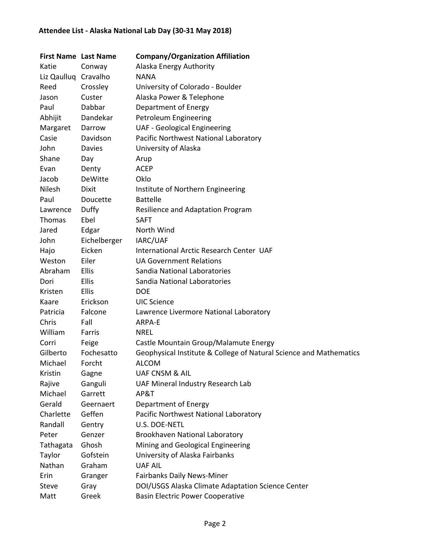| <b>First Name Last Name</b> |               | <b>Company/Organization Affiliation</b>                            |
|-----------------------------|---------------|--------------------------------------------------------------------|
| Katie                       | Conway        | Alaska Energy Authority                                            |
| Liz Qaulluq Cravalho        |               | <b>NANA</b>                                                        |
| Reed                        | Crossley      | University of Colorado - Boulder                                   |
| Jason                       | Custer        | Alaska Power & Telephone                                           |
| Paul                        | Dabbar        | Department of Energy                                               |
| Abhijit                     | Dandekar      | Petroleum Engineering                                              |
| Margaret                    | Darrow        | <b>UAF - Geological Engineering</b>                                |
| Casie                       | Davidson      | Pacific Northwest National Laboratory                              |
| John                        | <b>Davies</b> | University of Alaska                                               |
| Shane                       | Day           | Arup                                                               |
| Evan                        | Denty         | <b>ACEP</b>                                                        |
| Jacob                       | DeWitte       | Oklo                                                               |
| Nilesh                      | Dixit         | Institute of Northern Engineering                                  |
| Paul                        | Doucette      | <b>Battelle</b>                                                    |
| Lawrence                    | Duffy         | Resilience and Adaptation Program                                  |
| Thomas                      | Ebel          | <b>SAFT</b>                                                        |
| Jared                       | Edgar         | North Wind                                                         |
| John                        | Eichelberger  | IARC/UAF                                                           |
| Hajo                        | Eicken        | International Arctic Research Center UAF                           |
| Weston                      | Eiler         | <b>UA Government Relations</b>                                     |
| Abraham                     | Ellis         | Sandia National Laboratories                                       |
| Dori                        | Ellis         | Sandia National Laboratories                                       |
| Kristen                     | Ellis         | <b>DOE</b>                                                         |
| Kaare                       | Erickson      | <b>UIC Science</b>                                                 |
| Patricia                    | Falcone       | Lawrence Livermore National Laboratory                             |
| Chris                       | Fall          | ARPA-E                                                             |
| William                     | Farris        | <b>NREL</b>                                                        |
| Corri                       | Feige         | Castle Mountain Group/Malamute Energy                              |
| Gilberto                    | Fochesatto    | Geophysical Institute & College of Natural Science and Mathematics |
| Michael                     | Forcht        | <b>ALCOM</b>                                                       |
| Kristin                     | Gagne         | <b>UAF CNSM &amp; AIL</b>                                          |
| Rajive                      | Ganguli       | UAF Mineral Industry Research Lab                                  |
| Michael                     | Garrett       | AP&T                                                               |
| Gerald                      | Geernaert     | Department of Energy                                               |
| Charlette                   | Geffen        | Pacific Northwest National Laboratory                              |
| Randall                     | Gentry        | U.S. DOE-NETL                                                      |
| Peter                       | Genzer        | Brookhaven National Laboratory                                     |
| Tathagata                   | Ghosh         | Mining and Geological Engineering                                  |
| Taylor                      | Gofstein      | University of Alaska Fairbanks                                     |
| Nathan                      | Graham        | <b>UAF AIL</b>                                                     |
| Erin                        | Granger       | Fairbanks Daily News-Miner                                         |
| <b>Steve</b>                | Gray          | DOI/USGS Alaska Climate Adaptation Science Center                  |
| Matt                        | Greek         | <b>Basin Electric Power Cooperative</b>                            |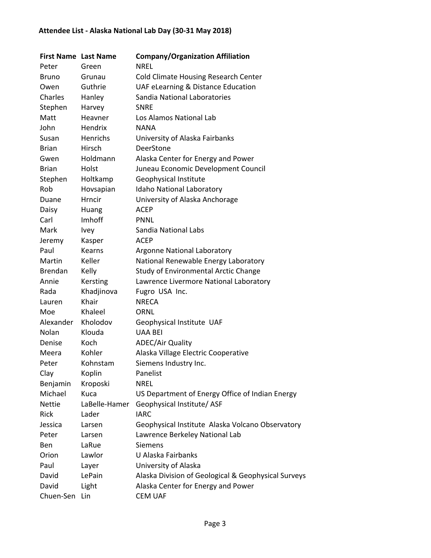| <b>First Name Last Name</b> |               | <b>Company/Organization Affiliation</b>             |
|-----------------------------|---------------|-----------------------------------------------------|
| Peter                       | Green         | <b>NREL</b>                                         |
| <b>Bruno</b>                | Grunau        | <b>Cold Climate Housing Research Center</b>         |
| Owen                        | Guthrie       | UAF eLearning & Distance Education                  |
| Charles                     | Hanley        | Sandia National Laboratories                        |
| Stephen                     | Harvey        | <b>SNRE</b>                                         |
| Matt                        | Heavner       | Los Alamos National Lab                             |
| John                        | Hendrix       | <b>NANA</b>                                         |
| Susan                       | Henrichs      | University of Alaska Fairbanks                      |
| <b>Brian</b>                | Hirsch        | DeerStone                                           |
| Gwen                        | Holdmann      | Alaska Center for Energy and Power                  |
| <b>Brian</b>                | Holst         | Juneau Economic Development Council                 |
| Stephen                     | Holtkamp      | Geophysical Institute                               |
| Rob                         | Hovsapian     | Idaho National Laboratory                           |
| Duane                       | Hrncir        | University of Alaska Anchorage                      |
| Daisy                       | Huang         | <b>ACEP</b>                                         |
| Carl                        | Imhoff        | <b>PNNL</b>                                         |
| Mark                        | Ivey          | Sandia National Labs                                |
| Jeremy                      | Kasper        | <b>ACEP</b>                                         |
| Paul                        | Kearns        | <b>Argonne National Laboratory</b>                  |
| Martin                      | Keller        | National Renewable Energy Laboratory                |
| <b>Brendan</b>              | Kelly         | Study of Environmental Arctic Change                |
| Annie                       | Kersting      | Lawrence Livermore National Laboratory              |
| Rada                        | Khadjinova    | Fugro USA Inc.                                      |
| Lauren                      | Khair         | <b>NRECA</b>                                        |
| Moe                         | Khaleel       | ORNL                                                |
| Alexander                   | Kholodov      | Geophysical Institute UAF                           |
| Nolan                       | Klouda        | <b>UAA BEI</b>                                      |
| Denise                      | Koch          | <b>ADEC/Air Quality</b>                             |
| Meera                       | Kohler        | Alaska Village Electric Cooperative                 |
| Peter                       | Kohnstam      | Siemens Industry Inc.                               |
| Clay                        | Koplin        | Panelist                                            |
| Benjamin                    | Kroposki      | <b>NREL</b>                                         |
| Michael                     | Kuca          | US Department of Energy Office of Indian Energy     |
| <b>Nettie</b>               | LaBelle-Hamer | Geophysical Institute/ASF                           |
| Rick                        | Lader         | <b>IARC</b>                                         |
| Jessica                     | Larsen        | Geophysical Institute Alaska Volcano Observatory    |
| Peter                       | Larsen        | Lawrence Berkeley National Lab                      |
| Ben                         | LaRue         | <b>Siemens</b>                                      |
| Orion                       | Lawlor        | U Alaska Fairbanks                                  |
| Paul                        | Layer         | University of Alaska                                |
| David                       | LePain        | Alaska Division of Geological & Geophysical Surveys |
| David                       | Light         | Alaska Center for Energy and Power                  |
| Chuen-Sen                   | Lin           | <b>CEM UAF</b>                                      |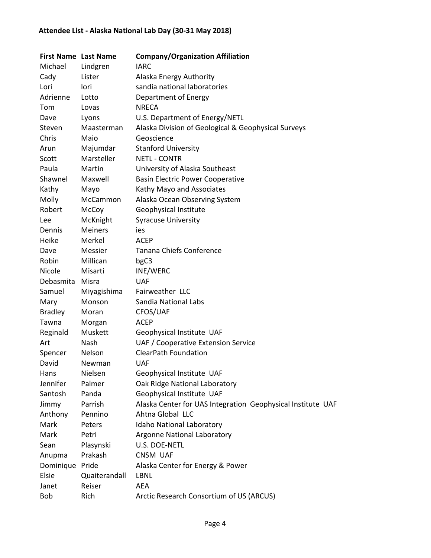| Michael<br><b>IARC</b><br>Lindgren<br>Cady<br>Alaska Energy Authority<br>Lister<br>sandia national laboratories<br>Lori<br>lori<br>Adrienne<br>Department of Energy<br>Lotto<br><b>NRECA</b><br>Tom<br>Lovas<br>Dave<br>U.S. Department of Energy/NETL<br>Lyons<br>Alaska Division of Geological & Geophysical Surveys<br>Steven<br>Maasterman<br>Chris<br>Maio<br>Geoscience<br><b>Stanford University</b><br>Majumdar<br>Arun<br>Marsteller<br><b>NETL - CONTR</b><br>Scott<br>Paula<br>Martin<br>University of Alaska Southeast<br>Shawnel<br>Maxwell<br><b>Basin Electric Power Cooperative</b> |
|-----------------------------------------------------------------------------------------------------------------------------------------------------------------------------------------------------------------------------------------------------------------------------------------------------------------------------------------------------------------------------------------------------------------------------------------------------------------------------------------------------------------------------------------------------------------------------------------------------|
|                                                                                                                                                                                                                                                                                                                                                                                                                                                                                                                                                                                                     |
|                                                                                                                                                                                                                                                                                                                                                                                                                                                                                                                                                                                                     |
|                                                                                                                                                                                                                                                                                                                                                                                                                                                                                                                                                                                                     |
|                                                                                                                                                                                                                                                                                                                                                                                                                                                                                                                                                                                                     |
|                                                                                                                                                                                                                                                                                                                                                                                                                                                                                                                                                                                                     |
|                                                                                                                                                                                                                                                                                                                                                                                                                                                                                                                                                                                                     |
|                                                                                                                                                                                                                                                                                                                                                                                                                                                                                                                                                                                                     |
|                                                                                                                                                                                                                                                                                                                                                                                                                                                                                                                                                                                                     |
|                                                                                                                                                                                                                                                                                                                                                                                                                                                                                                                                                                                                     |
|                                                                                                                                                                                                                                                                                                                                                                                                                                                                                                                                                                                                     |
|                                                                                                                                                                                                                                                                                                                                                                                                                                                                                                                                                                                                     |
|                                                                                                                                                                                                                                                                                                                                                                                                                                                                                                                                                                                                     |
| Kathy<br>Kathy Mayo and Associates<br>Mayo                                                                                                                                                                                                                                                                                                                                                                                                                                                                                                                                                          |
| Molly<br>Alaska Ocean Observing System<br>McCammon                                                                                                                                                                                                                                                                                                                                                                                                                                                                                                                                                  |
| Robert<br>Geophysical Institute<br>McCoy                                                                                                                                                                                                                                                                                                                                                                                                                                                                                                                                                            |
| McKnight<br><b>Syracuse University</b><br>Lee                                                                                                                                                                                                                                                                                                                                                                                                                                                                                                                                                       |
| <b>Meiners</b><br>Dennis<br>ies                                                                                                                                                                                                                                                                                                                                                                                                                                                                                                                                                                     |
| Heike<br>Merkel<br><b>ACEP</b>                                                                                                                                                                                                                                                                                                                                                                                                                                                                                                                                                                      |
| Messier<br><b>Tanana Chiefs Conference</b><br>Dave                                                                                                                                                                                                                                                                                                                                                                                                                                                                                                                                                  |
| Robin<br>Millican<br>bgC3                                                                                                                                                                                                                                                                                                                                                                                                                                                                                                                                                                           |
| Nicole<br>Misarti<br>INE/WERC                                                                                                                                                                                                                                                                                                                                                                                                                                                                                                                                                                       |
| Debasmita<br>Misra<br><b>UAF</b>                                                                                                                                                                                                                                                                                                                                                                                                                                                                                                                                                                    |
| Fairweather LLC<br>Samuel<br>Miyagishima                                                                                                                                                                                                                                                                                                                                                                                                                                                                                                                                                            |
| Sandia National Labs<br>Monson<br>Mary                                                                                                                                                                                                                                                                                                                                                                                                                                                                                                                                                              |
| <b>Bradley</b><br>CFOS/UAF<br>Moran                                                                                                                                                                                                                                                                                                                                                                                                                                                                                                                                                                 |
| Tawna<br><b>ACEP</b><br>Morgan                                                                                                                                                                                                                                                                                                                                                                                                                                                                                                                                                                      |
| Muskett<br>Geophysical Institute UAF<br>Reginald                                                                                                                                                                                                                                                                                                                                                                                                                                                                                                                                                    |
| UAF / Cooperative Extension Service<br>Art<br>Nash                                                                                                                                                                                                                                                                                                                                                                                                                                                                                                                                                  |
| <b>ClearPath Foundation</b><br>Spencer<br>Nelson                                                                                                                                                                                                                                                                                                                                                                                                                                                                                                                                                    |
| David<br><b>UAF</b><br>Newman                                                                                                                                                                                                                                                                                                                                                                                                                                                                                                                                                                       |
| Nielsen<br>Geophysical Institute UAF<br>Hans                                                                                                                                                                                                                                                                                                                                                                                                                                                                                                                                                        |
| Oak Ridge National Laboratory<br>Jennifer<br>Palmer                                                                                                                                                                                                                                                                                                                                                                                                                                                                                                                                                 |
| Santosh<br>Panda<br>Geophysical Institute UAF                                                                                                                                                                                                                                                                                                                                                                                                                                                                                                                                                       |
| Parrish<br>Alaska Center for UAS Integration Geophysical Institute UAF<br>Jimmy                                                                                                                                                                                                                                                                                                                                                                                                                                                                                                                     |
| Ahtna Global LLC<br>Anthony<br>Pennino                                                                                                                                                                                                                                                                                                                                                                                                                                                                                                                                                              |
| Mark<br><b>Idaho National Laboratory</b><br>Peters                                                                                                                                                                                                                                                                                                                                                                                                                                                                                                                                                  |
| Mark<br>Petri<br><b>Argonne National Laboratory</b>                                                                                                                                                                                                                                                                                                                                                                                                                                                                                                                                                 |
| U.S. DOE-NETL<br>Sean<br>Plasynski                                                                                                                                                                                                                                                                                                                                                                                                                                                                                                                                                                  |
| Prakash<br>CNSM UAF<br>Anupma                                                                                                                                                                                                                                                                                                                                                                                                                                                                                                                                                                       |
| Dominique Pride<br>Alaska Center for Energy & Power                                                                                                                                                                                                                                                                                                                                                                                                                                                                                                                                                 |
| Elsie<br>Quaiterandall<br>LBNL                                                                                                                                                                                                                                                                                                                                                                                                                                                                                                                                                                      |
| <b>AEA</b><br>Janet<br>Reiser                                                                                                                                                                                                                                                                                                                                                                                                                                                                                                                                                                       |
| Arctic Research Consortium of US (ARCUS)<br>Bob<br>Rich                                                                                                                                                                                                                                                                                                                                                                                                                                                                                                                                             |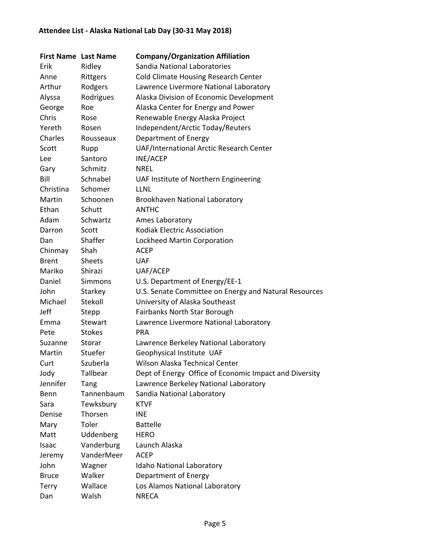| <b>First Name Last Name</b> |                | <b>Company/Organization Affiliation</b>                |
|-----------------------------|----------------|--------------------------------------------------------|
| Erik                        | Ridley         | Sandia National Laboratories                           |
| Anne                        | Rittgers       | <b>Cold Climate Housing Research Center</b>            |
| Arthur                      | Rodgers        | Lawrence Livermore National Laboratory                 |
| Alyssa                      | Rodrigues      | Alaska Division of Economic Development                |
| George                      | Roe            | Alaska Center for Energy and Power                     |
| Chris                       | Rose           | Renewable Energy Alaska Project                        |
| Yereth                      | Rosen          | Independent/Arctic Today/Reuters                       |
| Charles                     | Rousseaux      | Department of Energy                                   |
| Scott                       | Rupp           | UAF/International Arctic Research Center               |
| Lee                         | Santoro        | INE/ACEP                                               |
| Gary                        | Schmitz        | <b>NREL</b>                                            |
| Bill                        | Schnabel       | UAF Institute of Northern Engineering                  |
| Christina                   | Schomer        | <b>LLNL</b>                                            |
| Martin                      | Schoonen       | Brookhaven National Laboratory                         |
| Ethan                       | Schutt         | <b>ANTHC</b>                                           |
| Adam                        | Schwartz       | Ames Laboratory                                        |
| Darron                      | Scott          | <b>Kodiak Electric Association</b>                     |
| Dan                         | Shaffer        | Lockheed Martin Corporation                            |
| Chinmay                     | Shah           | <b>ACEP</b>                                            |
| <b>Brent</b>                | <b>Sheets</b>  | <b>UAF</b>                                             |
| Mariko                      | Shirazi        | UAF/ACEP                                               |
| Daniel                      | <b>Simmons</b> | U.S. Department of Energy/EE-1                         |
| John                        | Starkey        | U.S. Senate Committee on Energy and Natural Resources  |
| Michael                     | Stekoll        | University of Alaska Southeast                         |
| Jeff                        | Stepp          | Fairbanks North Star Borough                           |
| Emma                        | Stewart        | Lawrence Livermore National Laboratory                 |
| Pete                        | <b>Stokes</b>  | <b>PRA</b>                                             |
| Suzanne                     | Storar         | Lawrence Berkeley National Laboratory                  |
| Martin                      | Stuefer        | Geophysical Institute UAF                              |
| Curt                        | Szuberla       | Wilson Alaska Technical Center                         |
| Jody                        | Tallbear       | Dept of Energy Office of Economic Impact and Diversity |
| Jennifer                    | Tang           | Lawrence Berkeley National Laboratory                  |
| Benn                        | Tannenbaum     | Sandia National Laboratory                             |
| Sara                        | Tewksbury      | <b>KTVF</b>                                            |
| Denise                      | Thorsen        | <b>INE</b>                                             |
| Mary                        | Toler          | <b>Battelle</b>                                        |
| Matt                        | Uddenberg      | <b>HERO</b>                                            |
| Isaac                       | Vanderburg     | Launch Alaska                                          |
| Jeremy                      | VanderMeer     | <b>ACEP</b>                                            |
| John                        | Wagner         | Idaho National Laboratory                              |
| <b>Bruce</b>                | Walker         | Department of Energy                                   |
| <b>Terry</b>                | Wallace        | Los Alamos National Laboratory                         |
| Dan                         | Walsh          | <b>NRECA</b>                                           |